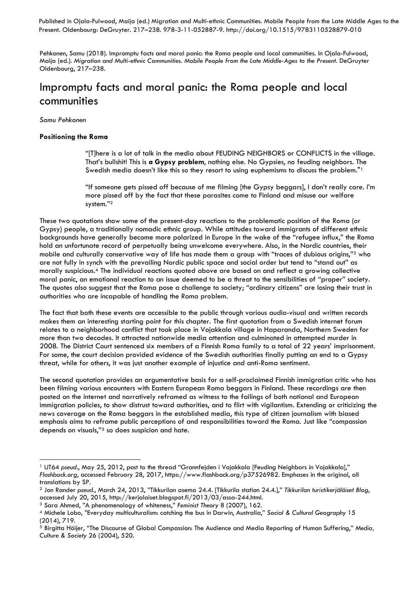Published in Ojala-Fulwood, Maija (ed.) Migration and Multi-ethnic Communities. Mobile People from the Late Middle Ages to the Present. Oldenbourg: DeGruyter. 217–238. 978-3-11-052887-9. http://doi.org/10.1515/9783110528879-010

Pehkonen, Samu (2018). Impromptu facts and moral panic: the Roma people and local communities. In Ojala-Fulwood, Maija (ed.). *Migration and Multi-ethnic Communities. Mobile People from the Late Middle-Ages to the Present*. DeGruyter Oldenbourg, 217–238.

# Impromptu facts and moral panic: the Roma people and local communities

*Samu Pehkonen*

# **Positioning the Roma**

"[T]here is a lot of talk in the media about FEUDING NEIGHBORS or CONFLICTS in the village. That's bullshit! This is **a Gypsy problem**, nothing else. No Gypsies, no feuding neighbors. The Swedish media doesn't like this so they resort to using euphemisms to discuss the problem."<sup>1</sup>

"If someone gets pissed off because of me filming [the Gypsy beggars], I don't really care. I'm more pissed off by the fact that these parasites come to Finland and misuse our welfare system."<sup>2</sup>

These two quotations show some of the present-day reactions to the problematic position of the Roma (or Gypsy) people, a traditionally nomadic ethnic group. While attitudes toward immigrants of different ethnic backgrounds have generally become more polarized in Europe in the wake of the "refugee influx," the Roma hold an unfortunate record of perpetually being unwelcome everywhere. Also, in the Nordic countries, their mobile and culturally conservative way of life has made them a group with "traces of dubious origins," <sup>3</sup> who are not fully in synch with the prevailing Nordic public space and social order but tend to "stand out" as morally suspicious. <sup>4</sup> The individual reactions quoted above are based on and reflect a growing collective moral panic, an emotional reaction to an issue deemed to be a threat to the sensibilities of "proper" society. The quotes also suggest that the Roma pose a challenge to society; "ordinary citizens" are losing their trust in authorities who are incapable of handling the Roma problem.

The fact that both these events are accessible to the public through various audio-visual and written records makes them an interesting starting point for this chapter. The first quotation from a Swedish internet forum relates to a neighborhood conflict that took place in Vojakkala village in Haparanda, Northern Sweden for more than two decades. It attracted nationwide media attention and culminated in attempted murder in 2008. The District Court sentenced six members of a Finnish Roma family to a total of 22 years' imprisonment. For some, the court decision provided evidence of the Swedish authorities finally putting an end to a Gypsy threat, while for others, it was just another example of injustice and anti-Roma sentiment.

The second quotation provides an argumentative basis for a self-proclaimed Finnish immigration critic who has been filming various encounters with Eastern European Roma beggars in Finland. These recordings are then posted on the internet and narratively reframed as witness to the failings of both national and European immigration policies, to show distrust toward authorities, and to flirt with vigilantism. Extending or criticizing the news coverage on the Roma beggars in the established media, this type of citizen journalism with biased emphasis aims to reframe public perceptions of and responsibilities toward the Roma. Just like "compassion depends on visuals," <sup>5</sup> so does suspicion and hate.

<sup>1</sup> UT64 *pseud*., May 25, 2012, post to the thread "Grannfejden i Vojakkala [Feuding Neighbors in Vojakkala]," *Flashback.org*, accessed February 28, 2017, https://www.flashback.org/p37526982. Emphases in the original, all translations by SP.

<sup>2</sup> Jon Rander *pseud.*, March 24, 2013, "Tikkurilan asema 24.4. [Tikkurila station 24.4.]," *Tikkurilan turistikerjäläiset Blog*, accessed July 20, 2015, http://kerjalaiset.blogspot.fi/2013/03/assa-244.html.

<sup>3</sup> Sara Ahmed, "A phenomenology of whiteness," *Feminist Theory* 8 (2007), 162.

<sup>4</sup> Michele Lobo, "Everyday multiculturalism: catching the bus in Darwin, Australia," *Social & Cultural Geography* 15 (2014), 719.

<sup>5</sup> Birgitta Höijer, "The Discourse of Global Compassion: The Audience and Media Reporting of Human Suffering," *Media, Culture & Society* 26 (2004), 520.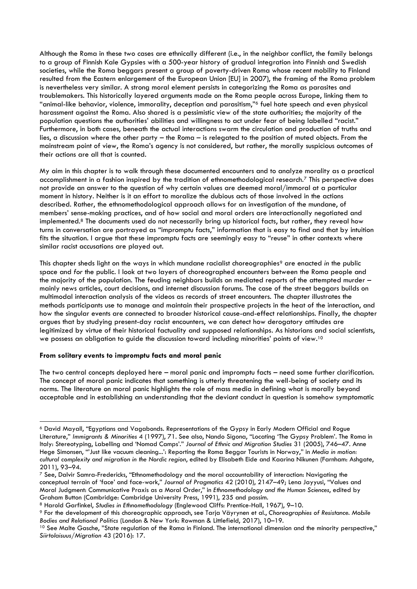Although the Roma in these two cases are ethnically different (i.e., in the neighbor conflict, the family belongs to a group of Finnish Kale Gypsies with a 500-year history of gradual integration into Finnish and Swedish societies, while the Roma beggars present a group of poverty-driven Roma whose recent mobility to Finland resulted from the Eastern enlargement of the European Union [EU] in 2007), the framing of the Roma problem is nevertheless very similar. A strong moral element persists in categorizing the Roma as parasites and troublemakers. This historically layered arguments made on the Roma people across Europe, linking them to "animal-like behavior, violence, immorality, deception and parasitism," <sup>6</sup> fuel hate speech and even physical harassment against the Roma. Also shared is a pessimistic view of the state authorities; the majority of the population questions the authorities' abilities and willingness to act under fear of being labelled "racist." Furthermore, in both cases, beneath the actual interactions swarm the circulation and production of truths and lies, a discussion where the other party – the Roma – is relegated to the position of muted objects. From the mainstream point of view, the Roma's agency is not considered, but rather, the morally suspicious outcomes of their actions are all that is counted.

My aim in this chapter is to walk through these documented encounters and to analyze morality as a practical accomplishment in a fashion inspired by the tradition of ethnomethodological research.<sup>7</sup> This perspective does not provide an answer to the question of why certain values are deemed moral/immoral at a particular moment in history. Neither is it an effort to moralize the dubious acts of those involved in the actions described. Rather, the ethnomethodological approach allows for an investigation of the mundane, of members' sense-making practices, and of how social and moral orders are interactionally negotiated and implemented.<sup>8</sup> The documents used do not necessarily bring up historical facts, but rather, they reveal how turns in conversation are portrayed as "impromptu facts," information that is easy to find and that by intuition fits the situation. I argue that these impromptu facts are seemingly easy to "reuse" in other contexts where similar racist accusations are played out.

This chapter sheds light on the ways in which mundane racialist choreographies<sup>9</sup> are enacted *in* the public space and *for* the public. I look at two layers of choreographed encounters between the Roma people and the majority of the population. The feuding neighbors builds on mediated reports of the attempted murder – mainly news articles, court decisions, and internet discussion forums. The case of the street beggars builds on multimodal interaction analysis of the videos as records of street encounters. The chapter illustrates the methods participants use to manage and maintain their prospective projects in the heat of the interaction, and how the singular events are connected to broader historical cause-and-effect relationships. Finally, the chapter argues that by studying present-day racist encounters, we can detect how derogatory attitudes are legitimized by virtue of their historical factuality and supposed relationships. As historians and social scientists, we possess an obligation to guide the discussion toward including minorities' points of view.<sup>10</sup>

# **From solitary events to impromptu facts and moral panic**

The two central concepts deployed here – moral panic and impromptu facts – need some further clarification. The concept of moral panic indicates that something is utterly threatening the well-being of society and its norms. The literature on moral panic highlights the role of mass media in defining what is morally beyond acceptable and in establishing an understanding that the deviant conduct in question is somehow symptomatic

<sup>1</sup> <sup>6</sup> David Mayall, "Egyptians and Vagabonds. Representations of the Gypsy in Early Modern Official and Rogue Literature," *Immigrants & Minorities* 4 (1997), 71. See also, Nando Sigona, "Locating 'The Gypsy Problem'. The Roma in Italy: Stereotyping, Labelling and 'Nomad Camps'." *Journal of Ethnic and Migration Studies* 31 (2005), 746–47. Anne Hege Simonsen, "'Just like vacuum cleaning...': Reporting the Roma Beggar Tourists in Norway," in *Media in motion: cultural complexity and migration in the Nordic region*, edited by Elisabeth Eide and Kaarina Nikunen (Farnham: Ashgate, 2011), 93–94.

<sup>7</sup> See, Dalvir Samra-Fredericks, "Ethnomethodology and the moral accountability of interaction: Navigating the conceptual terrain of 'face' and face-work," *Journal of Pragmatics* 42 (2010), 2147–49; Lena Jayyusi, "Values and Moral Judgment: Communicative Praxis as a Moral Order," in *Ethnomethodology and the Human Sciences*, edited by Graham Button (Cambridge: Cambridge University Press, 1991), 235 and passim.

<sup>8</sup> Harold Garfinkel, *Studies in Ethnomethodology* (Englewood Cliffs: Prentice-Hall, 1967), 9–10.

<sup>9</sup> For the development of this choreographic approach, see Tarja Väyrynen et al., *Choreographies of Resistance. Mobile Bodies and Relational Politics* (London & New York: Rowman & Littlefield, 2017), 10–19.

<sup>&</sup>lt;sup>10</sup> See Malte Gasche, "State regulation of the Roma in Finland. The international dimension and the minority perspective," *Siirtolaisuus/Migration* 43 (2016): 17.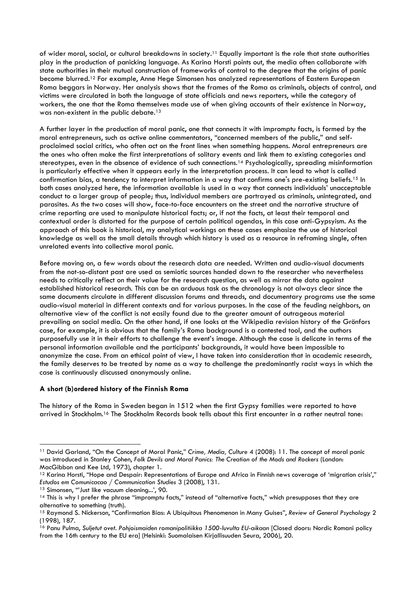of wider moral, social, or cultural breakdowns in society.<sup>11</sup> Equally important is the role that state authorities play in the production of panicking language. As Karina Horsti points out, the media often collaborate with state authorities in their mutual construction of frameworks of control to the degree that the origins of panic become blurred.<sup>12</sup> For example, Anne Hege Simonsen has analyzed representations of Eastern European Roma beggars in Norway. Her analysis shows that the frames of the Roma as criminals, objects of control, and victims were circulated in both the language of state officials and news reporters, while the category of workers, the one that the Roma themselves made use of when giving accounts of their existence in Norway, was non-existent in the public debate. 13

A further layer in the production of moral panic, one that connects it with impromptu facts, is formed by the moral entrepreneurs, such as active online commentators, "concerned members of the public," and selfproclaimed social critics, who often act on the front lines when something happens. Moral entrepreneurs are the ones who often make the first interpretations of solitary events and link them to existing categories and stereotypes, even in the absence of evidence of such connections.<sup>14</sup> Psychologically, spreading misinformation is particularly effective when it appears early in the interpretation process. It can lead to what is called confirmation bias, a tendency to interpret information in a way that confirms one's pre-existing beliefs. <sup>15</sup> In both cases analyzed here, the information available is used in a way that connects individuals' unacceptable conduct to a larger group of people; thus, individual members are portrayed as criminals, unintegrated, and parasites. As the two cases will show, face-to-face encounters on the street and the narrative structure of crime reporting are used to manipulate historical facts; or, if not the facts, at least their temporal and contextual order is distorted for the purpose of certain political agendas, in this case anti-Gypsyism. As the approach of this book is historical, my analytical workings on these cases emphasize the use of historical knowledge as well as the small details through which history is used as a resource in reframing single, often unrelated events into collective moral panic.

Before moving on, a few words about the research data are needed. Written and audio-visual documents from the not-so-distant past are used as semiotic sources handed down to the researcher who nevertheless needs to critically reflect on their value for the research question, as well as mirror the data against established historical research. This can be an arduous task as the chronology is not always clear since the same documents circulate in different discussion forums and threads, and documentary programs use the same audio-visual material in different contexts and for various purposes. In the case of the feuding neighbors, an alternative view of the conflict is not easily found due to the greater amount of outrageous material prevailing on social media. On the other hand, if one looks at the Wikipedia revision history of the Grönfors case, for example, it is obvious that the family's Roma background is a contested tool, and the authors purposefully use it in their efforts to challenge the event's image. Although the case is delicate in terms of the personal information available and the participants' backgrounds, it would have been impossible to anonymize the case. From an ethical point of view, I have taken into consideration that in academic research, the family deserves to be treated by name as a way to challenge the predominantly racist ways in which the case is continuously discussed anonymously online.

# **A short (b)ordered history of the Finnish Roma**

The history of the Roma in Sweden began in 1512 when the first Gypsy families were reported to have arrived in Stockholm.<sup>16</sup> The Stockholm Records book tells about this first encounter in a rather neutral tone:

1

<sup>11</sup> David Garland, "On the Concept of Moral Panic," *Crime, Media, Culture* 4 (2008): 11. The concept of moral panic was introduced in Stanley Cohen, *Folk Devils and Moral Panics: The Creation of the Mods and Rockers* (London: MacGibbon and Kee Ltd, 1973), chapter 1.

<sup>12</sup> Karina Horsti, "Hope and Despair: Representations of Europe and Africa in Finnish news coverage of 'migration crisis'," *Estudos em Comunicacao / Communication Studies* 3 (2008), 131.

<sup>13</sup> Simonsen, "'Just like vacuum cleaning...', 90.

<sup>14</sup> This is why I prefer the phrase "impromptu facts," instead of "alternative facts," which presupposes that they are alternative to something (truth).

<sup>15</sup> Raymond S. Nickerson, "Confirmation Bias: A Ubiquitous Phenomenon in Many Guises", *Review of General Psychology* 2 (1998), 187.

<sup>&</sup>lt;sup>16</sup> Panu Pulma, Suljetut ovet. Pohjoismaiden romanipolitiikka 1500-luvulta EU-aikaan [Closed doors: Nordic Romani policy from the 16th century to the EU era] (Helsinki: Suomalaisen Kirjallisuuden Seura, 2006), 20.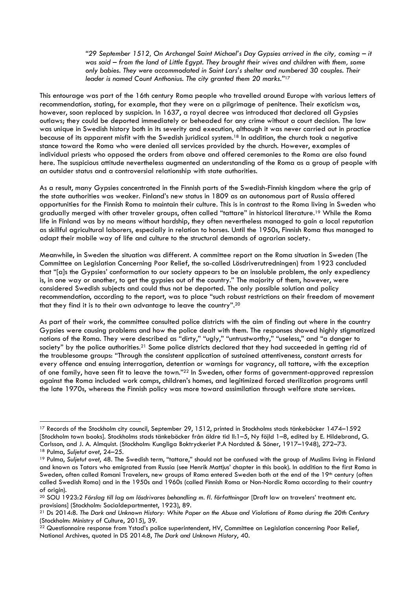*"29 September 1512, On Archangel Saint Michael's Day Gypsies arrived in the city, coming – it was said – from the land of Little Egypt. They brought their wives and children with them, some only babies. They were accommodated in Saint Lars's shelter and numbered 30 couples. Their leader is named Count Anthonius. The city granted them 20 marks."*<sup>17</sup>

This entourage was part of the 16th century Roma people who travelled around Europe with various letters of recommendation, stating, for example, that they were on a pilgrimage of penitence. Their exoticism was, however, soon replaced by suspicion. In 1637, a royal decree was introduced that declared all Gypsies outlaws; they could be deported immediately or beheaded for any crime without a court decision. The law was unique in Swedish history both in its severity and execution, although it was never carried out in practice because of its apparent misfit with the Swedish juridical system. <sup>18</sup> In addition, the church took a negative stance toward the Roma who were denied all services provided by the church. However, examples of individual priests who opposed the orders from above and offered ceremonies to the Roma are also found here. The suspicious attitude nevertheless augmented an understanding of the Roma as a group of people with an outsider status and a controversial relationship with state authorities.

As a result, many Gypsies concentrated in the Finnish parts of the Swedish-Finnish kingdom where the grip of the state authorities was weaker. Finland's new status in 1809 as an autonomous part of Russia offered opportunities for the Finnish Roma to maintain their culture. This is in contrast to the Roma living in Sweden who gradually merged with other traveler groups, often called "tattare" in historical literature.<sup>19</sup> While the Roma life in Finland was by no means without hardship, they often nevertheless managed to gain a local reputation as skillful agricultural laborers, especially in relation to horses. Until the 1950s, Finnish Roma thus managed to adapt their mobile way of life and culture to the structural demands of agrarian society.

Meanwhile, in Sweden the situation was different. A committee report on the Roma situation in Sweden (The Committee on Legislation Concerning Poor Relief, the so-called Lösdriverutredningen) from 1923 concluded that "[a]s the Gypsies' conformation to our society appears to be an insoluble problem, the only expediency is, in one way or another, to get the gypsies out of the country." The majority of them, however, were considered Swedish subjects and could thus not be deported. The only possible solution and policy recommendation, according to the report, was to place "such robust restrictions on their freedom of movement that they find it is to their own advantage to leave the country".<sup>20</sup>

As part of their work, the committee consulted police districts with the aim of finding out where in the country Gypsies were causing problems and how the police dealt with them. The responses showed highly stigmatized notions of the Roma. They were described as "dirty," "ugly," "untrustworthy," "useless," and "a danger to society" by the police authorities.<sup>21</sup> Some police districts declared that they had succeeded in getting rid of the troublesome groups: "Through the consistent application of sustained attentiveness, constant arrests for every offence and ensuing interrogation, detention or warnings for vagrancy, all tattare, with the exception of one family, have seen fit to leave the town."<sup>22</sup> In Sweden, other forms of government-approved repression against the Roma included work camps, children's homes, and legitimized forced sterilization programs until the late 1970s, whereas the Finnish policy was more toward assimilation through welfare state services.

1

<sup>17</sup> Records of the Stockholm city council, September 29, 1512, printed in Stockholms stads tänkeböcker 1474–1592 [Stockholm town books]. Stockholms stads tänkeböcker från äldre tid II:1–5, Ny föjld 1–8, edited by E. Hildebrand, G. Carlsson, and J. A. Almquist. (Stockholm: Kungliga Boktryckeriet P.A Nordsted & Söner, 1917–1948), 272–73. <sup>18</sup> Pulma, *Suljetut ovet*, 24–25.

<sup>19</sup> Pulma, *Suljetut ovet*, 48. The Swedish term, "tattare," should not be confused with the group of Muslims living in Finland and known as Tatars who emigrated from Russia (see Henrik Mattjus' chapter in this book). In addition to the first Roma in Sweden, often called Romani Travelers, new groups of Roma entered Sweden both at the end of the 19th century (often called Swedish Roma) and in the 1950s and 1960s (called Finnish Roma or Non-Nordic Roma according to their country of origin).

<sup>20</sup> SOU 1923:2 *Förslag till lag om lösdrivares behandling m. fl. författningar* [Draft law on travelers' treatment etc. provisions] (Stockholm: Socialdepartmentet, 1923), 89.

<sup>21</sup> Ds 2014:8. *The Dark and Unknown History: White Paper on the Abuse and Violations of Roma during the 20th Century* (Stockholm: Ministry of Culture, 2015), 39.

<sup>&</sup>lt;sup>22</sup> Questionnaire response from Ystad's police superintendent, HV, Committee on Legislation concerning Poor Relief, National Archives, quoted in DS 2014:8, *The Dark and Unknown History*, 40.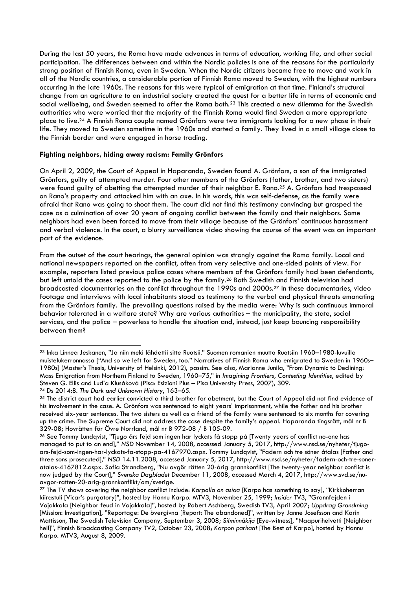During the last 50 years, the Roma have made advances in terms of education, working life, and other social participation. The differences between and within the Nordic policies is one of the reasons for the particularly strong position of Finnish Roma, even in Sweden. When the Nordic citizens became free to move and work in all of the Nordic countries, a considerable portion of Finnish Roma moved to Sweden, with the highest numbers occurring in the late 1960s. The reasons for this were typical of emigration at that time. Finland's structural change from an agriculture to an industrial society created the quest for a better life in terms of economic and social wellbeing, and Sweden seemed to offer the Roma both.<sup>23</sup> This created a new dilemma for the Swedish authorities who were worried that the majority of the Finnish Roma would find Sweden a more appropriate place to live.<sup>24</sup> A Finnish Roma couple named Grönfors were two immigrants looking for a new phase in their life. They moved to Sweden sometime in the 1960s and started a family. They lived in a small village close to the Finnish border and were engaged in horse trading.

# **Fighting neighbors, hiding away racism: Family Grönfors**

-

On April 2, 2009, the Court of Appeal in Haparanda, Sweden found A. Grönfors, a son of the immigrated Grönfors, guilty of attempted murder. Four other members of the Grönfors (father, brother, and two sisters) were found guilty of abetting the attempted murder of their neighbor E. Rano. <sup>25</sup> A. Grönfors had trespassed on Rano's property and attacked him with an axe. In his words, this was self-defense, as the family were afraid that Rano was going to shoot them. The court did not find this testimony convincing but grasped the case as a culmination of over 20 years of ongoing conflict between the family and their neighbors. Some neighbors had even been forced to move from their village because of the Grönfors' continuous harassment and verbal violence. In the court, a blurry surveillance video showing the course of the event was an important part of the evidence.

From the outset of the court hearings, the general opinion was strongly against the Roma family. Local and national newspapers reported on the conflict, often from very selective and one-sided points of view. For example, reporters listed previous police cases where members of the Grönfors family had been defendants, but left untold the cases reported to the police by the family.<sup>26</sup> Both Swedish and Finnish television had broadcasted documentaries on the conflict throughout the 1990s and 2000s. <sup>27</sup> In these documentaries, video footage and interviews with local inhabitants stood as testimony to the verbal and physical threats emanating from the Grönfors family. The prevailing questions raised by the media were: Why is such continuous immoral behavior tolerated in a welfare state? Why are various authorities – the municipality, the state, social services, and the police – powerless to handle the situation and, instead, just keep bouncing responsibility between them?

<sup>23</sup> Inka Linnea Jeskanen, "Ja niin meki lähdettii sitte Ruotsii." Suomen romanien muutto Ruotsiin 1960–1980-luvuilla muistelukerronnassa ["And so we left for Sweden, too." Narratives of Finnish Roma who emigrated to Sweden in 1960s– 1980s] (Master's Thesis, University of Helsinki, 2012), passim. See also, Marianne Junila, "From Dynamic to Declining: Mass Emigration from Northern Finland to Sweden, 1960–75," in *Imagining Frontiers, Contesting Identities*, edited by Steven G. Ellis and Lud'a Klusáková (Pisa: Esizioni Plus – Pisa University Press, 2007), 309. <sup>24</sup> Ds 2014:8. *The Dark and Unknown History*, 163–65.

<sup>&</sup>lt;sup>25</sup> The district court had earlier convicted a third brother for abetment, but the Court of Appeal did not find evidence of his involvement in the case. A. Grönfors was sentenced to eight years' imprisonment, while the father and his brother received six-year sentences. The two sisters as well as a friend of the family were sentenced to six months for covering up the crime. The Supreme Court did not address the case despite the family's appeal. Haparanda tingsrätt, mål nr B 329-08; Hovrätten för Övre Norrland, mål nr B 972-08 / B 105-09.

<sup>26</sup> See Tommy Lundqvist, "Tjugo års fejd som ingen har lyckats få stopp på [Twenty years of conflict no-one has managed to put to an end]," *NSD* November 14, 2008, accessed January 5, 2017, http://www.nsd.se/nyheter/tjugoars-fejd-som-ingen-har-lyckats-fa-stopp-pa-4167970.aspx. Tommy Lundqvist, "Fadern och tre söner åtalas [Father and three sons prosecuted]," *NSD* 14.11.2008, accessed January 5, 2017, http://www.nsd.se/nyheter/fadern-och-tre-soneratalas-4167812.aspx. Sofia Strandberg, "Nu avgör rätten 20-årig grannkonflikt [The twenty-year neighbor conflict is now judged by the Court]," *Svenska Dagbladet* December 11, 2008, accessed March 4, 2017, http://www.svd.se/nuavgor-ratten-20-arig-grannkonflikt/om/sverige.

<sup>27</sup> The TV shows covering the neighbor conflict include: *Karpolla on asiaa* [Karpo has something to say], "Kirkkoherran kiirastuli [Vicar's purgatory]", hosted by Hannu Karpo. MTV3, November 25, 1999; *Insider* TV3, "Grannfejden i Vojakkala [Neighbor feud in Vojakkala]", hosted by Robert Aschberg, Swedish TV3, April 2007; *Uppdrag Granskning* [Mission: Investigation], "Reportage: De övergivna [Report: The abandoned]", written by Janne Josefsson and Karin Mattisson, The Swedish Television Company, September 3, 2008; *Silminnäkijä* [Eye-witness], "Naapurihelvetti [Neighbor hell]", Finnish Broadcasting Company TV2, October 23, 2008; *Karpon parhaat* [The Best of Karpo], hosted by Hannu Karpo. MTV3, August 8, 2009.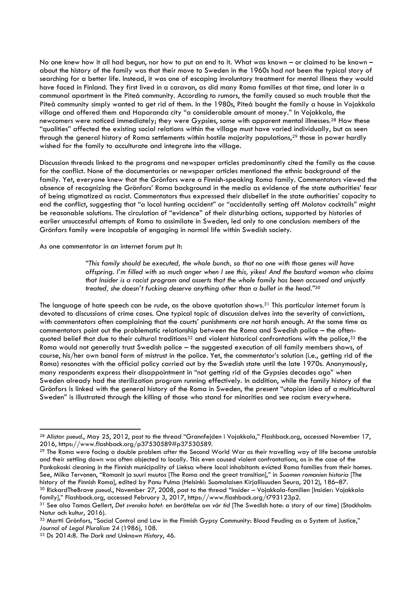No one knew how it all had begun, nor how to put an end to it. What was known – or claimed to be known – about the history of the family was that their move to Sweden in the 1960s had not been the typical story of searching for a better life. Instead, it was one of escaping involuntary treatment for mental illness they would have faced in Finland. They first lived in a caravan, as did many Roma families at that time, and later in a communal apartment in the Piteå community. According to rumors, the family caused so much trouble that the Piteå community simply wanted to get rid of them. In the 1980s, Piteå bought the family a house in Vojakkala village and offered them and Haparanda city "a considerable amount of money." In Vojakkala, the newcomers were noticed immediately; they were Gypsies, some with apparent mental illnesses.<sup>28</sup> How these "qualities" affected the existing social relations within the village must have varied individually, but as seen through the general history of Roma settlements within hostile majority populations,<sup>29</sup> those in power hardly wished for the family to acculturate and integrate into the village.

Discussion threads linked to the programs and newspaper articles predominantly cited the family as the cause for the conflict. None of the documentaries or newspaper articles mentioned the ethnic background of the family. Yet, everyone knew that the Grönfors were a Finnish-speaking Roma family. Commentators viewed the absence of recognizing the Grönfors' Roma background in the media as evidence of the state authorities' fear of being stigmatized as racist. Commentators thus expressed their disbelief in the state authorities' capacity to end the conflict, suggesting that "a local hunting accident" or "accidentally setting off Molotov cocktails" might be reasonable solutions. The circulation of "evidence" of their disturbing actions, supported by histories of earlier unsuccessful attempts of Roma to assimilate in Sweden, led only to one conclusion: members of the Grönfors family were incapable of engaging in normal life within Swedish society.

As one commentator in an internet forum put it:

*"This family should be executed, the whole bunch, so that no one with those genes will have offspring. I'm filled with so much anger when I see this, yikes! And the bastard woman who claims that Insider is a racist program and asserts that the whole family has been accused and unjustly treated, she doesn't fucking deserve anything other than a bullet in the head."<sup>30</sup>*

The language of hate speech can be rude, as the above quotation shows.<sup>31</sup> This particular internet forum is devoted to discussions of crime cases. One typical topic of discussion delves into the severity of convictions, with commentators often complaining that the courts' punishments are not harsh enough. At the same time as commentators point out the problematic relationship between the Roma and Swedish police – the oftenquoted belief that due to their cultural traditions<sup>32</sup> and violent historical confrontations with the police,<sup>33</sup> the Roma would not generally trust Swedish police – the suggested execution of all family members shows, of course, his/her own banal form of mistrust in the police. Yet, the commentator's solution (i.e., getting rid of the Roma) resonates with the official policy carried out by the Swedish state until the late 1970s. Anonymously, many respondents express their disappointment in "not getting rid of the Gypsies decades ago" when Sweden already had the sterilization program running effectively. In addition, while the family history of the Grönfors is linked with the general history of the Roma in Sweden, the present "utopian idea of a multicultural Sweden" is illustrated through the killing of those who stand for minorities and see racism everywhere.

**.** 

<sup>28</sup> Alistar *pseud*., May 25, 2012, post to the thread "Grannfejden i Vojakkala," Flashback.org, accessed November 17, 2016, https://www.flashback.org/p37530589#p37530589.

<sup>&</sup>lt;sup>29</sup> The Roma were facing a double problem after the Second World War as their travelling way of life become unstable and their settling down was often objected to locally. This even caused violent confrontations, as in the case of the Pankakoski cleaning in the Finnish municipality of Lieksa where local inhabitants evicted Roma families from their homes. See, Miika Tervonen, "Romanit ja suuri muutos [The Roma and the great transition]," in *Suomen romanien historia* [The history of the Finnish Roma], edited by Panu Pulma (Helsinki: Suomalaisen Kirjallisuuden Seura, 2012), 186–87. <sup>30</sup> RickardTheBrave *pseud*., November 27, 2008, post to the thread "Insider – Vojakkala-familien [Insider: Vojakkala

family]," Flashback.org, accessed February 3, 2017, https://www.flashback.org/t793123p2. <sup>31</sup> See also Tamas Gellert, *Det svenska hatet: en berättelse om vår tid* [The Swedish hate: a story of our time] (Stockholm: Natur och kultur, 2016).

<sup>32</sup> Martti Grönfors, "Social Control and Law in the Finnish Gypsy Community: Blood Feuding as a System of Justice," *Journal of Legal Pluralism* 24 (1986), 108.

<sup>33</sup> Ds 2014:8. *The Dark and Unknown History*, 46.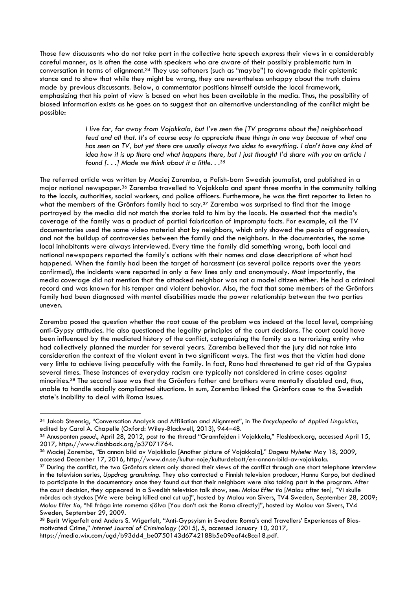Those few discussants who do not take part in the collective hate speech express their views in a considerably careful manner, as is often the case with speakers who are aware of their possibly problematic turn in conversation in terms of alignment.<sup>34</sup> They use softeners (such as "maybe") to downgrade their epistemic stance and to show that while they might be wrong, they are nevertheless unhappy about the truth claims made by previous discussants. Below, a commentator positions himself outside the local framework, emphasizing that his point of view is based on what has been available in the media. Thus, the possibility of biased information exists as he goes on to suggest that an alternative understanding of the conflict might be possible:

> *I live far, far away from Vojakkala, but I've seen the [TV programs about the] neighborhood feud and all that. It's of course easy to appreciate these things in one way because of what one has seen on TV, but yet there are usually always two sides to everything. I don't have any kind of idea how it is up there and what happens there, but I just thought I'd share with you an article I found [. . .] Made me think about it a little. . . 35*

The referred article was written by Maciej Zaremba, a Polish-born Swedish journalist, and published in a major national newspaper.<sup>36</sup> Zaremba travelled to Vojakkala and spent three months in the community talking to the locals, authorities, social workers, and police officers. Furthermore, he was the first reporter to listen to what the members of the Grönfors family had to say.<sup>37</sup> Zaremba was surprised to find that the image portrayed by the media did not match the stories told to him by the locals. He asserted that the media's coverage of the family was a product of partial fabrication of impromptu facts. For example, all the TV documentaries used the same video material shot by neighbors, which only showed the peaks of aggression, and not the buildup of controversies between the family and the neighbors. In the documentaries, the same local inhabitants were always interviewed. Every time the family did something wrong, both local and national newspapers reported the family's actions with their names and close descriptions of what had happened. When the family had been the target of harassment (as several police reports over the years confirmed), the incidents were reported in only a few lines only and anonymously. Most importantly, the media coverage did not mention that the attacked neighbor was not a model citizen either. He had a criminal record and was known for his temper and violent behavior. Also, the fact that some members of the Grönfors family had been diagnosed with mental disabilities made the power relationship between the two parties uneven.

Zaremba posed the question whether the root cause of the problem was indeed at the local level, comprising anti-Gypsy attitudes. He also questioned the legality principles of the court decisions. The court could have been influenced by the mediated history of the conflict, categorizing the family as a terrorizing entity who had collectively planned the murder for several years. Zaremba believed that the jury did not take into consideration the context of the violent event in two significant ways. The first was that the victim had done very little to achieve living peacefully with the family. In fact, Rano had threatened to get rid of the Gypsies several times. These instances of everyday racism are typically not considered in crime cases against minorities.<sup>38</sup> The second issue was that the Grönfors father and brothers were mentally disabled and, thus, unable to handle socially complicated situations. In sum, Zaremba linked the Grönfors case to the Swedish state's inability to deal with Roma issues.

-

<sup>34</sup> Jakob Steensig, "Conversation Analysis and Affiliation and Alignment", in *The Encyclopedia of Applied Linguistics*, edited by Carol A. Chapelle (Oxford: Wiley-Blackwell, 2013), 944–48.

<sup>35</sup> Anusponten *pseud.*, April 28, 2012, post to the thread "Grannfejden i Vojakkala," Flashback.org, accessed April 15, 2017, https://www.flashback.org/p37071764.

<sup>36</sup> Maciej Zaremba, "En annan bild av Vojakkala [Another picture of Vojakkala]," *Dagens Nyheter* May 18, 2009, accessed December 17, 2016, http://www.dn.se/kultur-noje/kulturdebatt/en-annan-bild-av-vojakkala.

<sup>&</sup>lt;sup>37</sup> During the conflict, the two Grönfors sisters only shared their views of the conflict through one short telephone interview in the television series, *Uppdrag granskning.* They also contacted a Finnish television producer, Hannu Karpo, but declined to participate in the documentary once they found out that their neighbors were also taking part in the program. After the court decision, they appeared in a Swedish television talk show, see: *Malou Efter tio* [Malou after ten]*,* "Vi skulle mördas och styckas [We were being killed and cut up]", hosted by Malou von Sivers, TV4 Sweden, September 28, 2009; *Malou Efter tio*, "Ni fråga inte romerna själva [You don't ask the Roma directly]", hosted by Malou von Sivers, TV4 Sweden, September 29, 2009.

<sup>38</sup> Berit Wigerfelt and Anders S. Wigerfelt, "Anti-Gypsyism in Sweden: Roma's and Travellers' Experiences of Biasmotivated Crime," *Internet Journal of Criminology* (2015), 5, accessed January 10, 2017, https://media.wix.com/ugd/b93dd4\_be0750143d6742188b5e09eaf4c8ca18.pdf.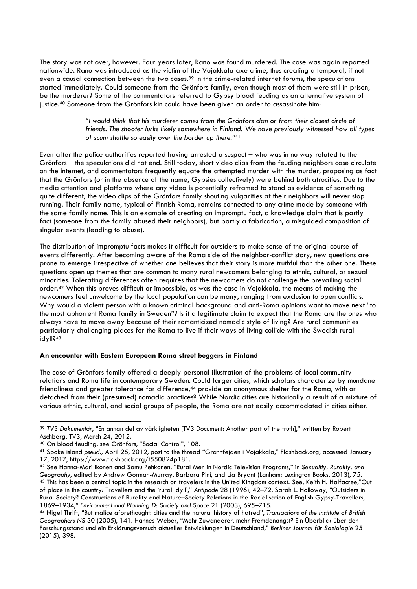The story was not over, however. Four years later, Rano was found murdered. The case was again reported nationwide. Rano was introduced as the victim of the Vojakkala axe crime, thus creating a temporal, if not even a causal connection between the two cases.<sup>39</sup> In the crime-related internet forums, the speculations started immediately. Could someone from the Grönfors family, even though most of them were still in prison, be the murderer? Some of the commentators referred to Gypsy blood feuding as an alternative system of justice. <sup>40</sup> Someone from the Grönfors kin could have been given an order to assassinate him:

> *"I would think that his murderer comes from the Grönfors clan or from their closest circle of friends. The shooter lurks likely somewhere in Finland. We have previously witnessed how all types of scum shuttle so easily over the border up there."* 41

Even after the police authorities reported having arrested a suspect – who was in no way related to the Grönfors – the speculations did not end. Still today, short video clips from the feuding neighbors case circulate on the internet, and commentators frequently equate the attempted murder with the murder, proposing as fact that the Grönfors (or in the absence of the name, Gypsies collectively) were behind both atrocities. Due to the media attention and platforms where any video is potentially reframed to stand as evidence of something quite different, the video clips of the Grönfors family shouting vulgarities at their neighbors will never stop running. Their family name, typical of Finnish Roma, remains connected to any crime made by someone with the same family name. This is an example of creating an impromptu fact, a knowledge claim that is partly fact (someone from the family abused their neighbors), but partly a fabrication, a misguided composition of singular events (leading to abuse).

The distribution of impromptu facts makes it difficult for outsiders to make sense of the original course of events differently. After becoming aware of the Roma side of the neighbor-conflict story, new questions are prone to emerge irrespective of whether one believes that their story is more truthful than the other one. These questions open up themes that are common to many rural newcomers belonging to ethnic, cultural, or sexual minorities. Tolerating differences often requires that the newcomers do not challenge the prevailing social order.<sup>42</sup> When this proves difficult or impossible, as was the case in Vojakkala, the means of making the newcomers feel unwelcome by the local population can be many, ranging from exclusion to open conflicts. Why would a violent person with a known criminal background and anti-Roma opinions want to move next "to the most abhorrent Roma family in Sweden"? Is it a legitimate claim to expect that the Roma are the ones who always have to move away because of their romanticized nomadic style of living? Are rural communities particularly challenging places for the Roma to live if their ways of living collide with the Swedish rural idyll?<sup>43</sup>

# **An encounter with Eastern European Roma street beggars in Finland**

The case of Grönfors family offered a deeply personal illustration of the problems of local community relations and Roma life in contemporary Sweden. Could larger cities, which scholars characterize by mundane friendliness and greater tolerance for difference,<sup>44</sup> provide an anonymous shelter for the Roma, with or detached from their (presumed) nomadic practices? While Nordic cities are historically a result of a mixture of various ethnic, cultural, and social groups of people, the Roma are not easily accommodated in cities either.

<sup>1</sup> <sup>39</sup> *TV3 Dokumentär*, "En annan del av värkligheten [TV3 Document: Another part of the truth]," written by Robert Aschberg, TV3, March 24, 2012.

<sup>40</sup> On blood feuding, see Grönfors, "Social Control", 108.

<sup>41</sup> Spoke island *pseud.,* April 25, 2012, post to the thread "Grannfejden i Vojakkala," Flashback.org, accessed January 17, 2017, https://www.flashback.org/t550824p181.

<sup>42</sup> See Hanna-Mari Ikonen and Samu Pehkonen, "Rural Men in Nordic Television Programs," in *Sexuality, Rurality, and Geography*, edited by Andrew Gorman-Murray, Barbara Pini, and Lia Bryant (Lanham: Lexington Books, 2013), 75. 43 This has been a central topic in the research on travelers in the United Kingdom context. See, Keith H. Halfacree,"Out of place in the country: Travellers and the 'rural idyll'," *Antipode* 28 (1996), 42–72. Sarah L. Holloway, "Outsiders in Rural Society? Constructions of Rurality and Nature–Society Relations in the Racialisation of English Gypsy-Travellers, 1869–1934," *Environment and Planning D: Society and Space* 21 (2003), 695–715.

<sup>44</sup> Nigel Thrift, "But malice aforethought: cities and the natural history of hatred", *Transactions of the Institute of British Geographers NS* 30 (2005), 141. Hannes Weber, "Mehr Zuwanderer, mehr Fremdenangst? Ein Überblick über den Forschungsstand und ein Erklärungsversuch aktueller Entwicklungen in Deutschland," *Berliner Journal für Soziologie* 25 (2015), 398.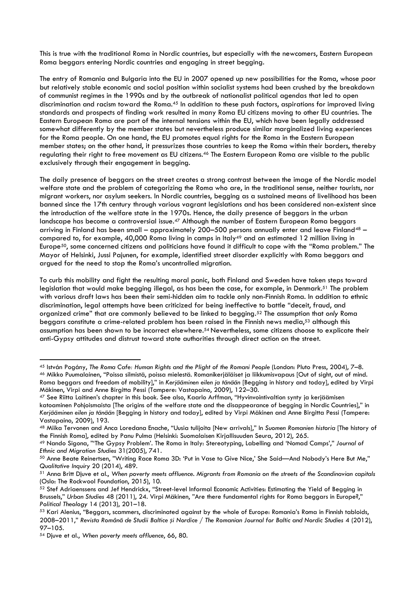This is true with the traditional Roma in Nordic countries, but especially with the newcomers, Eastern European Roma beggars entering Nordic countries and engaging in street begging.

The entry of Romania and Bulgaria into the EU in 2007 opened up new possibilities for the Roma, whose poor but relatively stable economic and social position within socialist systems had been crushed by the breakdown of communist regimes in the 1990s and by the outbreak of nationalist political agendas that led to open discrimination and racism toward the Roma. <sup>45</sup> In addition to these push factors, aspirations for improved living standards and prospects of finding work resulted in many Roma EU citizens moving to other EU countries. The Eastern European Roma are part of the internal tensions within the EU, which have been legally addressed somewhat differently by the member states but nevertheless produce similar marginalized living experiences for the Roma people. On one hand, the EU promotes equal rights for the Roma in the Eastern European member states; on the other hand, it pressurizes those countries to keep the Roma within their borders, thereby regulating their right to free movement as EU citizens.<sup>46</sup> The Eastern European Roma are visible to the public exclusively through their engagement in begging.

The daily presence of beggars on the street creates a strong contrast between the image of the Nordic model welfare state and the problem of categorizing the Roma who are, in the traditional sense, neither tourists, nor migrant workers, nor asylum seekers. In Nordic countries, begging as a sustained means of livelihood has been banned since the 17th century through various vagrant legislations and has been considered non-existent since the introduction of the welfare state in the 1970s. Hence, the daily presence of beggars in the urban landscape has become a controversial issue.<sup>47</sup> Although the number of Eastern European Roma beggars arriving in Finland has been small – approximately 200-500 persons annually enter and leave Finland<sup>48</sup> – compared to, for example, 40,000 Roma living in camps in Italy<sup>49</sup> and an estimated 12 million living in Europe50, some concerned citizens and politicians have found it difficult to cope with the "Roma problem." The Mayor of Helsinki, Jussi Pajunen, for example, identified street disorder explicitly with Roma beggars and argued for the need to stop the Roma's uncontrolled migration.

To curb this mobility and fight the resulting moral panic, both Finland and Sweden have taken steps toward legislation that would make begging illegal, as has been the case, for example, in Denmark. <sup>51</sup> The problem with various draft laws has been their semi-hidden aim to tackle only non-Finnish Roma. In addition to ethnic discrimination, legal attempts have been criticized for being ineffective to battle "deceit, fraud, and organized crime" that are commonly believed to be linked to begging. <sup>52</sup> The assumption that *only* Roma beggars constitute a crime-related problem has been raised in the Finnish news media,<sup>53</sup> although this assumption has been shown to be incorrect elsewhere. <sup>54</sup> Nevertheless, some citizens choose to explicate their anti-Gypsy attitudes and distrust toward state authorities through direct action on the street.

-

<sup>45</sup> István Pogány, *The Roma Cafe: Human Rights and the Plight of the Romani People* (London: Pluto Press, 2004), 7–8. <sup>46</sup> Mikko Puumalainen, "Poissa silmistä, poissa mielestä. Romanikerjäläiset ja liikkumisvapaus [Out of sight, out of mind. Roma beggars and freedom of mobility]," in *Kerjääminen eilen ja tänään* [Begging in history and today], edited by Virpi Mäkinen, Virpi and Anne Birgitta Pessi (Tampere: Vastapaino, 2009), 122–30.

<sup>47</sup> See Riitta Laitinen's chapter in this book. See also, Kaarlo Arffman, "Hyvinvointivaltion synty ja kerjäämisen katoaminen Pohjoismaista [The origins of the welfare state and the disappearance of begging in Nordic Countries]," in *Kerjääminen eilen ja tänään* [Begging in history and today], edited by Virpi Mäkinen and Anne Birgitta Pessi (Tampere: Vastapaino, 2009), 193.

<sup>48</sup> Miika Tervonen and Anca Loredana Enache, "Uusia tulijoita [New arrivals]," In *Suomen Romanien historia* [The history of the Finnish Roma], edited by Panu Pulma (Helsinki: Suomalaisen Kirjallisuuden Seura, 2012), 265.

<sup>49</sup> Nando Sigona, "'The Gypsy Problem'. The Roma in Italy: Stereotyping, Labelling and 'Nomad Camps'," *Journal of Ethnic and Migration Studies* 31(2005), 741.

<sup>50</sup> Anne Beate Reinertsen, "Writing Race Roma 3D: 'Put in Vase to Give Nice,' She Said—And Nobody's Here But Me," *Qualitative Inquiry* 20 (2014), 489.

<sup>51</sup> Anna Britt Djuve et al., *When poverty meets affluence. Migrants from Romania on the streets of the Scandinavian capitals* (Oslo: The Rockwool Foundation, 2015), 10.

<sup>52</sup> Stef Adriaenssens and Jef Hendrickx, "Street-level Informal Economic Activities: Estimating the Yield of Begging in Brussels," *Urban Studies* 48 (2011), 24. Virpi Mäkinen, "Are there fundamental rights for Roma beggars in Europe?," *Political Theology* 14 (2013), 201–18.

<sup>53</sup> Kari Alenius, "Beggars, scammers, discriminated against by the whole of Europe: Romania's Roma in Finnish tabloids, 2008–2011," *Revista Română de Studii Baltice și Nordice / The Romanian Journal for Baltic and Nordic Studies* 4 (2012), 97–105.

<sup>54</sup> Djuve et al., *When poverty meets affluence*, 66, 80.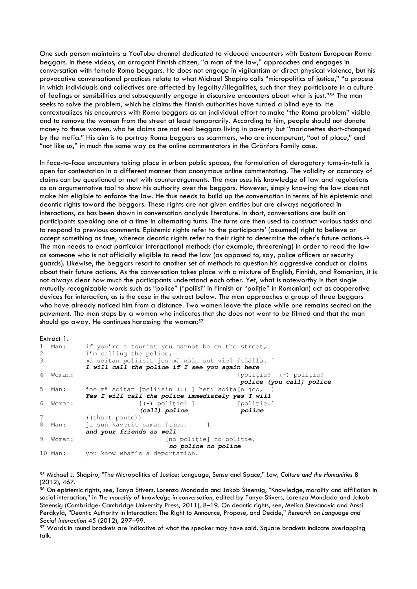One such person maintains a YouTube channel dedicated to videoed encounters with Eastern European Roma beggars. In these videos, an arrogant Finnish citizen, "a man of the law," approaches and engages in conversation with female Roma beggars. He does not engage in vigilantism or direct physical violence, but his provocative conversational practices relate to what Michael Shapiro calls "micropolitics of justice," "a process in which individuals and collectives are affected by legality/illegalities, such that they participate in a culture of feelings or sensibilities and subsequently engage in discursive encounters about what is just."<sup>55</sup> The man seeks to solve the problem, which he claims the Finnish authorities have turned a blind eye to. He contextualizes his encounters with Roma beggars as an individual effort to make "the Roma problem" visible and to remove the women from the street at least temporarily. According to him, people should not donate money to these women, who he claims are not real beggars living in poverty but "marionettes short-changed by the mafia." His aim is to portray Roma beggars as scammers, who are incompetent, "out of place," and "not like us," in much the same way as the online commentators in the Grönfors family case.

In face-to-face encounters taking place in urban public spaces, the formulation of derogatory turns-in-talk is open for contestation in a different manner than anonymous online commentating. The validity or accuracy of claims can be questioned or met with counterarguments. The man uses his knowledge of law and regulations as an argumentative tool to show his authority over the beggars. However, simply knowing the law does not make him eligible to enforce the law. He thus needs to build up the conversation in terms of his epistemic and deontic rights toward the beggars. These rights are not given entities but are always negotiated in interactions, as has been shown in conversation analysis literature. In short, conversations are built on participants speaking one at a time in alternating turns. The turns are then used to construct various tasks and to respond to previous comments. Epistemic rights refer to the participants' (assumed) right to believe or accept something as true, whereas deontic rights refer to their right to determine the other's future actions.<sup>56</sup> The man needs to enact particular interactional methods (for example, threatening) in order to read the law as someone who is not officially eligible to read the law (as opposed to, say, police officers or security guards). Likewise, the beggars resort to another set of methods to question his aggressive conduct or claims about their future actions. As the conversation takes place with a mixture of English, Finnish, and Romanian, it is not always clear how much the participants understand each other. Yet, what is noteworthy is that single mutually recognizable words such as "police" ("poliisi" in Finnish or "politie" in Romanian) act as cooperative devices for interaction, as is the case in the extract below. The man approaches a group of three beggars who have already noticed him from a distance. Two women leave the place while one remains seated on the pavement. The man stops by a woman who indicates that she does not want to be filmed and that the man should go away. He continues harassing the woman: $57$ 

```
Extract 1.
1 Man: if you're a tourist you cannot be on the street,
2 I'm calling the police,
3 mä soitan poliisit jos mä nään sut viel [täällä. ]
         I will call the police if I see you again here
4 Woman: [politie?] (-) politie?]
                                           police (you call) police
5 Man: joo mä soitan [poliisin (.) ] heti soita[n joo,
         Yes I will call the police immediately yes I will
6 Woman: [(-) poliţie? ] [poliţie.]
                      (call) police police
7 ((short pause)) 
8 Man: ja sun kaverit saman [tien. ]
         and your friends as well
9 Woman: [no politie] no politie.
                            no police no police
10 Man: you know what's a deportation.
```
-

<sup>55</sup> Michael J. Shapiro, "The Micropolitics of Justice: Language, Sense and Space," *Law, Culture and the Humanities* 8 (2012), 467.

<sup>56</sup> On epistemic rights, see, Tanya Stivers, Lorenza Mondada and Jakob Steensig, "Knowledge, morality and affiliation in social interaction," in *The morality of knowledge in conversation*, edited by Tanya Stivers, Lorenza Mondada and Jakob Steensig (Cambridge: Cambridge University Press, 2011), 8–19. On deontic rights, see, Melisa Stevanovic and Anssi Peräkylä, "Deontic Authority in Interaction: The Right to Announce, Propose, and Decide," *Research on Language and Social Interaction* 45 (2012), 297–99.

<sup>&</sup>lt;sup>57</sup> Words in round brackets are indicative of what the speaker may have said. Square brackets indicate overlapping talk.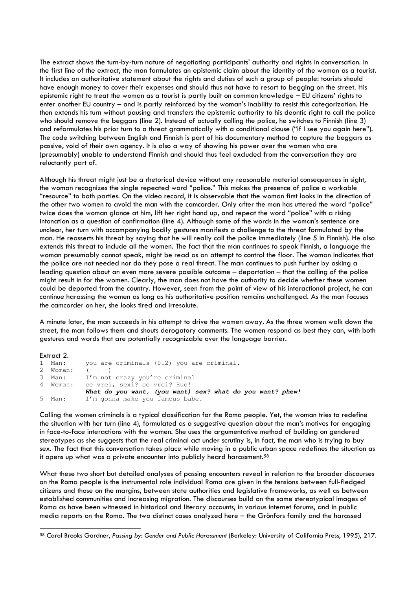The extract shows the turn-by-turn nature of negotiating participants' authority and rights in conversation. In the first line of the extract, the man formulates an epistemic claim about the identity of the woman as a tourist. It includes an authoritative statement about the rights and duties of such a group of people: tourists should have enough money to cover their expenses and should thus not have to resort to begging on the street. His epistemic right to treat the woman as a tourist is partly built on common knowledge – EU citizens' rights to enter another EU country – and is partly reinforced by the woman's inability to resist this categorization. He then extends his turn without pausing and transfers the epistemic authority to his deontic right to call the police who should remove the beggars (line 2). Instead of actually calling the police, he switches to Finnish (line 3) and reformulates his prior turn to a threat grammatically with a conditional clause ("if I see you again here"). The code switching between English and Finnish is part of his documentary method to capture the beggars as passive, void of their own agency. It is also a way of showing his power over the women who are (presumably) unable to understand Finnish and should thus feel excluded from the conversation they are reluctantly part of.

Although his threat might just be a rhetorical device without any reasonable material consequences in sight, the woman recognizes the single repeated word "police." This makes the presence of police a workable "resource" to both parties. On the video record, it is observable that the woman first looks in the direction of the other two women to avoid the man with the camcorder. Only after the man has uttered the word "police" twice does the woman glance at him, lift her right hand up, and repeat the word "police" with a rising intonation as a question of confirmation (line 4). Although some of the words in the woman's sentence are unclear, her turn with accompanying bodily gestures manifests a challenge to the threat formulated by the man. He reasserts his threat by saying that he will really call the police immediately (line 5 in Finnish). He also extends this threat to include all the women. The fact that the man continues to speak Finnish, a language the woman presumably cannot speak, might be read as an attempt to control the floor. The woman indicates that the police are not needed nor do they pose a real threat. The man continues to push further by asking a leading question about an even more severe possible outcome – deportation – that the calling of the police might result in for the women. Clearly, the man does not have the authority to decide whether these women could be deported from the country. However, seen from the point of view of his interactional project, he can continue harassing the women as long as his authoritative position remains unchallenged. As the man focuses the camcorder on her, she looks tired and irresolute.

A minute later, the man succeeds in his attempt to drive the women away. As the three women walk down the street, the man follows them and shouts derogatory comments. The women respond as best they can, with both gestures and words that are potentially recognizable over the language barrier.

#### Extract 2.

**.** 

```
1 Man: you are criminals (0.2) you are criminal.
2 Woman: (- - -)3 Man: I'm not crazy you're criminal
4 Woman: ce vrei, sexi? ce vrei? Huo!
            What do you want, (you want) sex? what do you want? phew!
5 Man: I'm gonna make you famous babe.
```
Calling the women criminals is a typical classification for the Roma people. Yet, the woman tries to redefine the situation with her turn (line 4), formulated as a suggestive question about the man's motives for engaging in face-to-face interactions with the women. She uses the argumentative method of building on gendered stereotypes as she suggests that the real criminal act under scrutiny is, in fact, the man who is trying to buy sex. The fact that this conversation takes place while moving in a public urban space redefines the situation as it opens up what was a private encounter into publicly heard harassment.<sup>58</sup>

What these two short but detailed analyses of passing encounters reveal in relation to the broader discourses on the Roma people is the instrumental role individual Roma are given in the tensions between full-fledged citizens and those on the margins, between state authorities and legislative frameworks, as well as between established communities and increasing migration. The discourses build on the same stereotypical images of Roma as have been witnessed in historical and literary accounts, in various internet forums, and in public media reports on the Roma. The two distinct cases analyzed here – the Grönfors family and the harassed

<sup>58</sup> Carol Brooks Gardner, *Passing by: Gender and Public Harassment* (Berkeley: University of California Press, 1995), 217.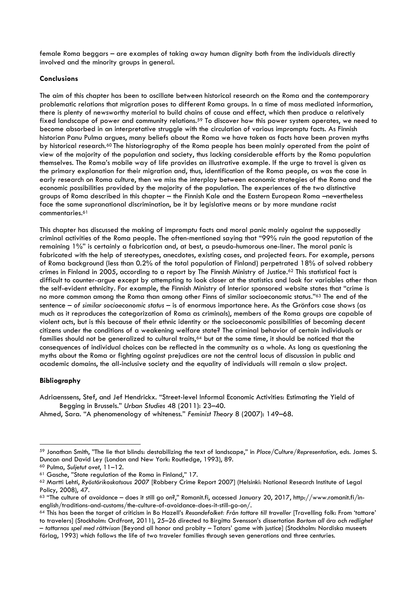female Roma beggars – are examples of taking away human dignity both from the individuals directly involved and the minority groups in general.

# **Conclusions**

The aim of this chapter has been to oscillate between historical research on the Roma and the contemporary problematic relations that migration poses to different Roma groups. In a time of mass mediated information, there is plenty of newsworthy material to build chains of cause and effect, which then produce a relatively fixed landscape of power and community relations.<sup>59</sup> To discover how this power system operates, we need to become absorbed in an interpretative struggle with the circulation of various impromptu facts. As Finnish historian Panu Pulma argues, many beliefs about the Roma we have taken as facts have been proven myths by historical research.<sup>60</sup> The historiography of the Roma people has been mainly operated from the point of view of the majority of the population and society, thus lacking considerable efforts by the Roma population themselves. The Roma's mobile way of life provides an illustrative example. If the urge to travel is given as the primary explanation for their migration and, thus, identification of the Roma people, as was the case in early research on Roma culture, then we miss the interplay between economic strategies of the Roma and the economic possibilities provided by the majority of the population. The experiences of the two distinctive groups of Roma described in this chapter – the Finnish Kale and the Eastern European Roma –nevertheless face the same supranational discrimination, be it by legislative means or by more mundane racist commentaries.<sup>61</sup>

This chapter has discussed the making of impromptu facts and moral panic mainly against the supposedly criminal activities of the Roma people. The often-mentioned saying that "99% ruin the good reputation of the remaining 1%" is certainly a fabrication and, at best, a pseudo-humorous one-liner. The moral panic is fabricated with the help of stereotypes, anecdotes, existing cases, and projected fears. For example, persons of Roma background (less than 0.2% of the total population of Finland) perpetrated 18% of solved robbery crimes in Finland in 2005, according to a report by The Finnish Ministry of Justice. <sup>62</sup> This statistical fact is difficult to counter-argue except by attempting to look closer at the statistics and look for variables other than the self-evident ethnicity. For example, the Finnish Ministry of Interior sponsored website states that "crime is no more common among the Roma than among other Finns of similar socioeconomic status." <sup>63</sup> The end of the sentence – *of similar socioeconomic status* – is of enormous importance here. As the Grönfors case shows (as much as it reproduces the categorization of Roma as criminals), members of the Roma groups are capable of violent acts, but is this because of their ethnic identity or the socioeconomic possibilities of becoming decent citizens under the conditions of a weakening welfare state? The criminal behavior of certain individuals or families should not be generalized to cultural traits,<sup>64</sup> but at the same time, it should be noticed that the consequences of individual choices can be reflected in the community as a whole. As long as questioning the myths about the Roma or fighting against prejudices are not the central locus of discussion in public and academic domains, the all-inclusive society and the equality of individuals will remain a slow project.

# **Bibliography**

1

Adriaenssens, Stef, and Jef Hendrickx. "Street-level Informal Economic Activities: Estimating the Yield of Begging in Brussels." *Urban Studies* 48 (2011): 23–40.

Ahmed, Sara. "A phenomenology of whiteness." *Feminist Theory* 8 (2007): 149–68.

<sup>59</sup> Jonathan Smith, "The lie that blinds: destabilizing the text of landscape," in *Place/Culture/Representation*, eds. James S. Duncan and David Ley (London and New York: Routledge, 1993), 89.

<sup>60</sup> Pulma, *Suljetut ovet*, 11–12.

<sup>61</sup> Gasche, "State regulation of the Roma in Finland," 17.

<sup>62</sup> Martti Lehti, *Ryöstörikoskatsaus 2007* [Robbery Crime Report 2007] (Helsinki: National Research Institute of Legal Policy, 2008), 47.

<sup>63</sup> "The culture of avoidance – does it still go on?," Romanit.fi, accessed January 20, 2017, http://www.romanit.fi/inenglish/traditions-and-customs/the-culture-of-avoidance-does-it-still-go-on/.

<sup>64</sup> This has been the target of criticism in Bo Hazell's *Resandefolket: Från tattare till traveller* [Travelling folk: From 'tattare' to travelers] (Stockholm: Ordfront, 2011), 25–26 directed to Birgitta Svensson's dissertation *Bortom all ära och redlighet – tattarnas spel med rättvisan* [Beyond all honor and probity – Tatars' game with justice] (Stockholm: Nordiska museets förlag, 1993) which follows the life of two traveler families through seven generations and three centuries.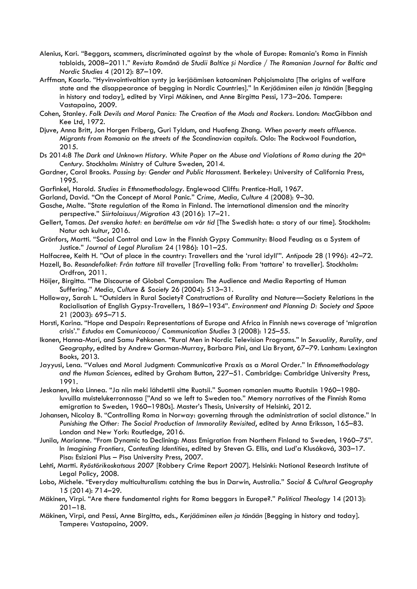- Alenius, Kari. "Beggars, scammers, discriminated against by the whole of Europe: Romania's Roma in Finnish tabloids, 2008–2011." *Revista Română de Studii Baltice și Nordice / The Romanian Journal for Baltic and Nordic Studies* 4 (2012): 87–109.
- Arffman, Kaarlo. "Hyvinvointivaltion synty ja kerjäämisen katoaminen Pohjoismaista [The origins of welfare state and the disappearance of begging in Nordic Countries]." In *Kerjääminen eilen ja tänään* [Begging in history and today], edited by Virpi Mäkinen, and Anne Birgitta Pessi, 173–206. Tampere: Vastapaino, 2009.
- Cohen, Stanley. *Folk Devils and Moral Panics: The Creation of the Mods and Rockers*. London: MacGibbon and Kee Ltd, 1972.
- Djuve, Anna Britt, Jon Horgen Friberg, Guri Tyldum, and Huafeng Zhang. *When poverty meets affluence. Migrants from Romania on the streets of the Scandinavian capitals.* Oslo: The Rockwool Foundation, 2015.
- Ds 2014:8 *The Dark and Unknown History. White Paper on the Abuse and Violations of Roma during the 20th Century*. Stockholm: Ministry of Culture Sweden, 2014.
- Gardner, Carol Brooks. *Passing by: Gender and Public Harassment*. Berkeley: University of California Press, 1995.
- Garfinkel, Harold. *Studies in Ethnomethodology*. Englewood Cliffs: Prentice-Hall, 1967.
- Garland, David. "On the Concept of Moral Panic." *Crime, Media, Culture* 4 (2008): 9–30.
- Gasche, Malte. "State regulation of the Roma in Finland. The international dimension and the minority perspective." *Siirtolaisuus/Migration* 43 (2016): 17–21.
- Gellert, Tamas. *Det svenska hatet: en berättelse om vår tid* [The Swedish hate: a story of our time]. Stockholm: Natur och kultur, 2016.
- Grönfors, Martti. "Social Control and Law in the Finnish Gypsy Community: Blood Feuding as a System of Justice." *Journal of Legal Pluralism* 24 (1986): 101–25.
- Halfacree, Keith H. "Out of place in the country: Travellers and the 'rural idyll'". *Antipode* 28 (1996): 42–72.

Hazell, Bo. *Resandefolket: Från tattare till traveller* [Travelling folk: From 'tattare' to traveller]. Stockholm: Ordfron, 2011.

- Höijer, Birgitta. "The Discourse of Global Compassion: The Audience and Media Reporting of Human Suffering." *Media, Culture & Society* 26 (2004): 513–31.
- Holloway, Sarah L. "Outsiders in Rural Society? Constructions of Rurality and Nature—Society Relations in the Racialisation of English Gypsy-Travellers, 1869–1934". *Environment and Planning D: Society and Space* 21 (2003): 695–715.
- Horsti, Karina. "Hope and Despair: Representations of Europe and Africa in Finnish news coverage of 'migration crisis'." *Estudos em Comunicacao/ Communication Studies* 3 (2008): 125–55.
- Ikonen, Hanna-Mari, and Samu Pehkonen. "Rural Men in Nordic Television Programs." In *Sexuality, Rurality, and Geography*, edited by Andrew Gorman-Murray, Barbara Pini, and Lia Bryant, 67–79. Lanham: Lexington Books, 2013.
- Jayyusi, Lena. "Values and Moral Judgment: Communicative Praxis as a Moral Order." In *Ethnomethodology and the Human Sciences*, edited by Graham Button, 227–51. Cambridge: Cambridge University Press, 1991.
- Jeskanen, Inka Linnea. "Ja niin meki lähdettii sitte Ruotsii." Suomen romanien muutto Ruotsiin 1960–1980 luvuilla muistelukerronnassa ["And so we left to Sweden too." Memory narratives of the Finnish Roma emigration to Sweden, 1960–1980s]. Master's Thesis, University of Helsinki, 2012.
- Johansen, Nicolay B. "Controlling Roma in Norway: governing through the administration of social distance." In *Punishing the Other: The Social Production of Immorality Revisited*, edited by Anna Eriksson, 165–83. London and New York: Routledge, 2016.
- Junila, Marianne. "From Dynamic to Declining: Mass Emigration from Northern Finland to Sweden, 1960–75". In *Imagining Frontiers, Contesting Identities*, edited by Steven G. Ellis, and Lud'a Klusáková, 303–17. Pisa: Esizioni Plus – Pisa University Press, 2007.
- Lehti, Martti. *Ryöstörikoskatsaus 2007* [Robbery Crime Report 2007]. Helsinki: National Research Institute of Legal Policy, 2008.
- Lobo, Michele. "Everyday multiculturalism: catching the bus in Darwin, Australia." *Social & Cultural Geography* 15 (2014): 714–29.
- Mäkinen, Virpi. "Are there fundamental rights for Roma beggars in Europe?." *Political Theology* 14 (2013): 201–18.
- Mäkinen, Virpi, and Pessi, Anne Birgitta, eds., *Kerjääminen eilen ja tänään* [Begging in history and today]. Tampere: Vastapaino, 2009.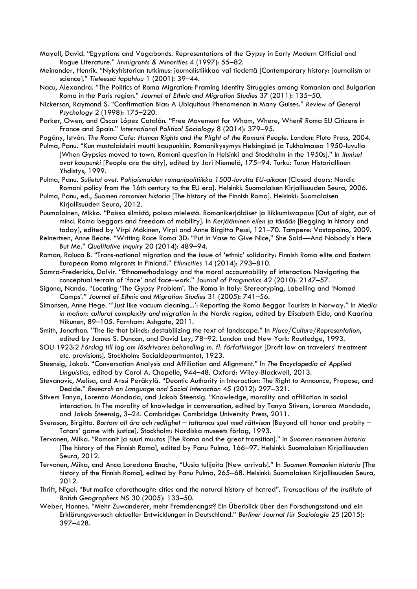Mayall, David. "Egyptians and Vagabonds. Representations of the Gypsy in Early Modern Official and Rogue Literature." *Immigrants & Minorities* 4 (1997): 55–82.

Meinander, Henrik. "Nykyhistorian tutkimus: journalistiikkaa vai tiedettä [Contemporary history: journalism or science]." *Tieteessä tapahtuu* 1 (2001): 39–44.

Nacu, Alexandra. "The Politics of Roma Migration: Framing Identity Struggles among Romanian and Bulgarian Roma in the Paris region." *Journal of Ethnic and Migration Studies* 37 (2011): 135–50.

- Nickerson, Raymond S. "Confirmation Bias: A Ubiquitous Phenomenon in Many Guises." *Review of General Psychology* 2 (1998): 175–220.
- Parker, Owen, and Óscar López Catalán. "Free Movement for Whom, Where, When? Roma EU Citizens in France and Spain." *International Political Sociology* 8 (2014): 379–95.

Pogány, István. *The Roma Cafe: Human Rights and the Plight of the Romani People*. London: Pluto Press, 2004.

- Pulma, Panu. "Kun mustalaisleiri muutti kaupunkiin. Romanikysymys Helsingissä ja Tukholmassa 1950-luvulla [When Gypsies moved to town. Romani question in Helsinki and Stockholm in the 1950s]." In *Ihmiset ovat kaupunki* [People are the city], edited by Jari Niemelä, 175–94. Turku: Turun Historiallinen Yhdistys, 1999.
- Pulma, Panu. *Suljetut ovet. Pohjoismaiden romanipolitiikka 1500-luvulta EU-aikaan* [Closed doors: Nordic Romani policy from the 16th century to the EU era]. Helsinki: Suomalaisen Kirjallisuuden Seura, 2006.
- Pulma, Panu, ed., *Suomen romanien historia* [The history of the Finnish Roma]. Helsinki: Suomalaisen Kirjallisuuden Seura, 2012.
- Puumalainen, Mikko. "Poissa silmistä, poissa mielestä. Romanikerjäläiset ja liikkumisvapaus [Out of sight, out of mind. Roma beggars and freedom of mobility]. In *Kerjääminen eilen ja tänään* [Begging in history and today], edited by Virpi Mäkinen, Virpi and Anne Birgitta Pessi, 121–70. Tampere: Vastapaino, 2009.
- Reinertsen, Anne Beate. "Writing Race Roma 3D: "Put in Vase to Give Nice," She Said—And Nobody's Here But Me." *Qualitative Inquiry* 20 (2014): 489–94.
- Roman, Raluca B. "Trans-national migration and the issue of 'ethnic' solidarity: Finnish Roma elite and Eastern European Roma migrants in Finland." *Ethnicities* 14 (2014): 793–810.
- Samra-Fredericks, Dalvir. "Ethnomethodology and the moral accountability of interaction: Navigating the conceptual terrain of 'face' and face-work." *Journal of Pragmatics* 42 (2010): 2147–57.
- Sigona, Nando. "Locating 'The Gypsy Problem'. The Roma in Italy: Stereotyping, Labelling and 'Nomad Camps'." *Journal of Ethnic and Migration Studies* 31 (2005): 741–56.
- Simonsen, Anne Hege. "'Just like vacuum cleaning...': Reporting the Roma Beggar Tourists in Norway." In *Media in motion: cultural complexity and migration in the Nordic region*, edited by Elisabeth Eide, and Kaarina Nikunen, 89-105. Farnham: Ashaate, 2011.
- Smith, Jonathan. "The lie that blinds: destabilizing the text of landscape." In *Place/Culture/Representation*, edited by James S. Duncan, and David Ley, 78–92. London and New York: Routledge, 1993.
- SOU 1923:2 *Förslag till lag om lösdrivares behandling m. fl. författningar* [Draft law on travelers' treatment etc. provisions]. Stockholm: Socialdepartmentet, 1923.
- Steensig, Jakob. "Conversation Analysis and Affiliation and Alignment." In *The Encyclopedia of Applied Linguistics*, edited by Carol A. Chapelle, 944–48. Oxford: Wiley-Blackwell, 2013.
- Stevanovic, Melisa, and Anssi Peräkylä. "Deontic Authority in Interaction: The Right to Announce, Propose, and Decide." *Research on Language and Social Interaction* 45 (2012): 297–321.
- Stivers Tanya, Lorenza Mondada, and Jakob Steensig. "Knowledge, morality and affiliation in social interaction. In The morality of knowledge in conversation, edited by Tanya Stivers, Lorenza Mondada, and Jakob Steensig, 3–24. Cambridge: Cambridge University Press, 2011.
- Svensson, Birgitta. *Bortom all ära och redlighet – tattarnas spel med rättvisan* [Beyond all honor and probity Tatars' game with justice]. Stockholm: Nordiska museets förlag, 1993.
- Tervonen, Miika. "Romanit ja suuri muutos [The Roma and the great transition]." In *Suomen romanien historia* [The history of the Finnish Roma], edited by Panu Pulma, 166–97. Helsinki: Suomalaisen Kirjallisuuden Seura, 2012.
- Tervonen, Miika, and Anca Loredana Enache, "Uusia tulijoita [New arrivals]." In *Suomen Romanien historia* [The history of the Finnish Roma], edited by Panu Pulma, 265–68. Helsinki: Suomalaisen Kirjallisuuden Seura, 2012.
- Thrift, Nigel. "But malice aforethought: cities and the natural history of hatred". *Transactions of the Institute of British Geographers NS* 30 (2005): 133–50.
- Weber, Hannes. "Mehr Zuwanderer, mehr Fremdenangst? Ein Überblick über den Forschungsstand und ein Erklärungsversuch aktueller Entwicklungen in Deutschland." *Berliner Journal für Soziologie* 25 (2015): 397–428.